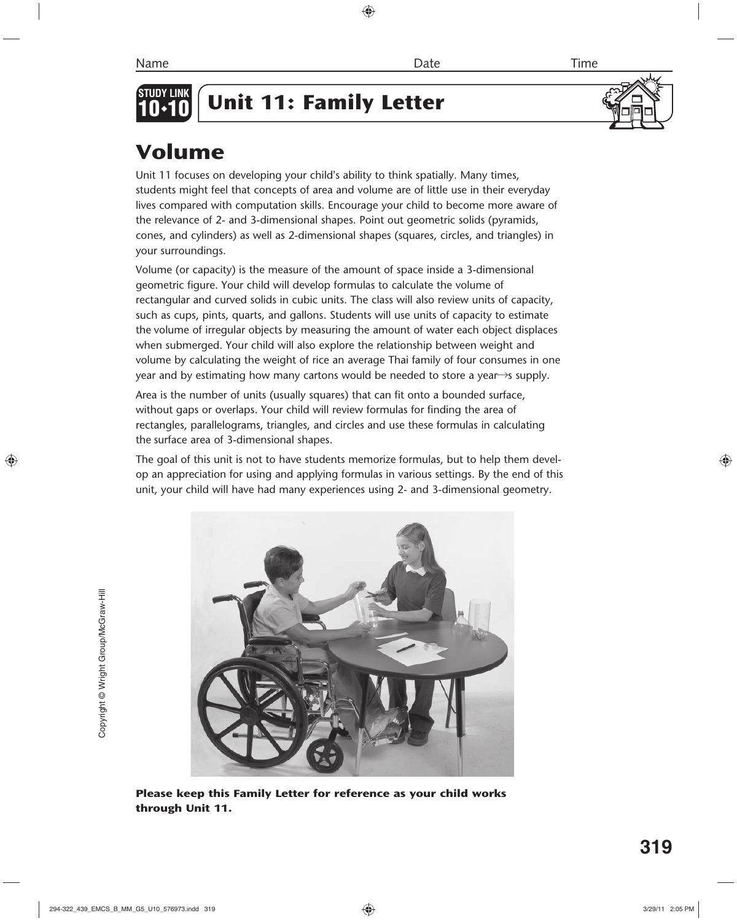

**<sup>10</sup>**✸**<sup>10</sup> Unit 11: Family Letter**

# **Volume**

Unit 11 focuses on developing your child's ability to think spatially. Many times, students might feel that concepts of area and volume are of little use in their everyday lives compared with computation skills. Encourage your child to become more aware of the relevance of 2- and 3-dimensional shapes. Point out geometric solids (pyramids, cones, and cylinders) as well as 2-dimensional shapes (squares, circles, and triangles) in your surroundings.

Volume (or capacity) is the measure of the amount of space inside a 3-dimensional geometric figure. Your child will develop formulas to calculate the volume of rectangular and curved solids in cubic units. The class will also review units of capacity, such as cups, pints, quarts, and gallons. Students will use units of capacity to estimate the volume of irregular objects by measuring the amount of water each object displaces when submerged. Your child will also explore the relationship between weight and volume by calculating the weight of rice an average Thai family of four consumes in one year and by estimating how many cartons would be needed to store a year $→$ s supply.

Area is the number of units (usually squares) that can fit onto a bounded surface, without gaps or overlaps. Your child will review formulas for finding the area of rectangles, parallelograms, triangles, and circles and use these formulas in calculating the surface area of 3-dimensional shapes.

The goal of this unit is not to have students memorize formulas, but to help them develop an appreciation for using and applying formulas in various settings. By the end of this unit, your child will have had many experiences using 2- and 3-dimensional geometry.



**Please keep this Family Letter for reference as your child works through Unit 11.**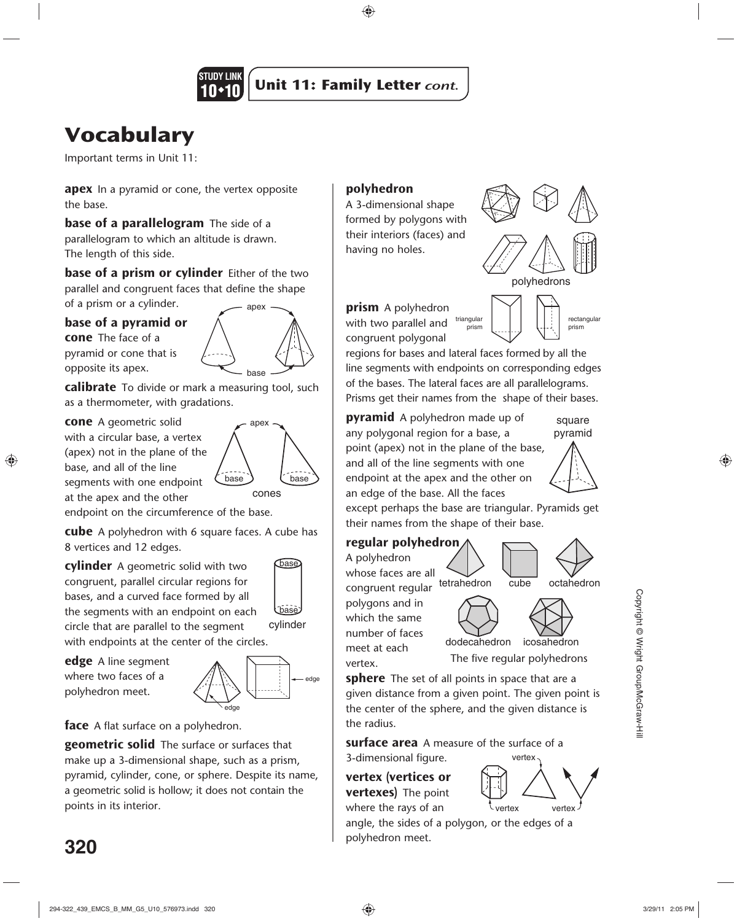

### **Vocabulary**

Important terms in Unit 11:

**apex** In a pyramid or cone, the vertex opposite the base.

**base of a parallelogram** The side of a parallelogram to which an altitude is drawn. The length of this side.

**base of a prism or cylinder** Either of the two parallel and congruent faces that define the shape of a prism or a cylinder. anex

### **base of a pyramid or**

**cone** The face of a pyramid or cone that is opposite its apex.



apex

base

cones

**calibrate** To divide or mark a measuring tool, such as a thermometer, with gradations.

**cone** A geometric solid with a circular base, a vertex (apex) not in the plane of the base, and all of the line segments with one endpoint at the apex and the other

endpoint on the circumference of the base*.*

**cube** A polyhedron with 6 square faces. A cube has 8 vertices and 12 edges.

**cylinder** A geometric solid with two congruent, parallel circular regions for bases, and a curved face formed by all the segments with an endpoint on each circle that are parallel to the segment with endpoints at the center of the circles.

**base** base

cylinder

base

**edge** A line segment where two faces of a polyhedron meet.



**face** A flat surface on a polyhedron.

**geometric solid** The surface or surfaces that make up a 3-dimensional shape, such as a prism, pyramid, cylinder, cone, or sphere. Despite its name, a geometric solid is hollow; it does not contain the points in its interior.

### **polyhedron**

A 3-dimensional shape formed by polygons with their interiors (faces) and having no holes.



**prism** A polyhedron with two parallel and congruent polygonal triangular

regions for bases and lateral faces formed by all the line segments with endpoints on corresponding edges of the bases. The lateral faces are all parallelograms. Prisms get their names from the shape of their bases.

prism

**pyramid** A polyhedron made up of any polygonal region for a base, a point (apex) not in the plane of the base, and all of the line segments with one endpoint at the apex and the other on an edge of the base. All the faces



except perhaps the base are triangular. Pyramids get their names from the shape of their base.

### **regular polyhedron**

A polyhedron whose faces are all congruent regular tetrahedron cube octahedron

polygons and in which the same number of faces meet at each vertex.

dodecahedron icosahedron The five regular polyhedrons

**sphere** The set of all points in space that are a given distance from a given point. The given point is the center of the sphere, and the given distance is the radius.

**surface area** A measure of the surface of a 3-dimensional figure. vertex

**vertex (vertices or vertexes)** The point

where the rays of an



angle, the sides of a polygon, or the edges of a polyhedron meet.





rectangular prism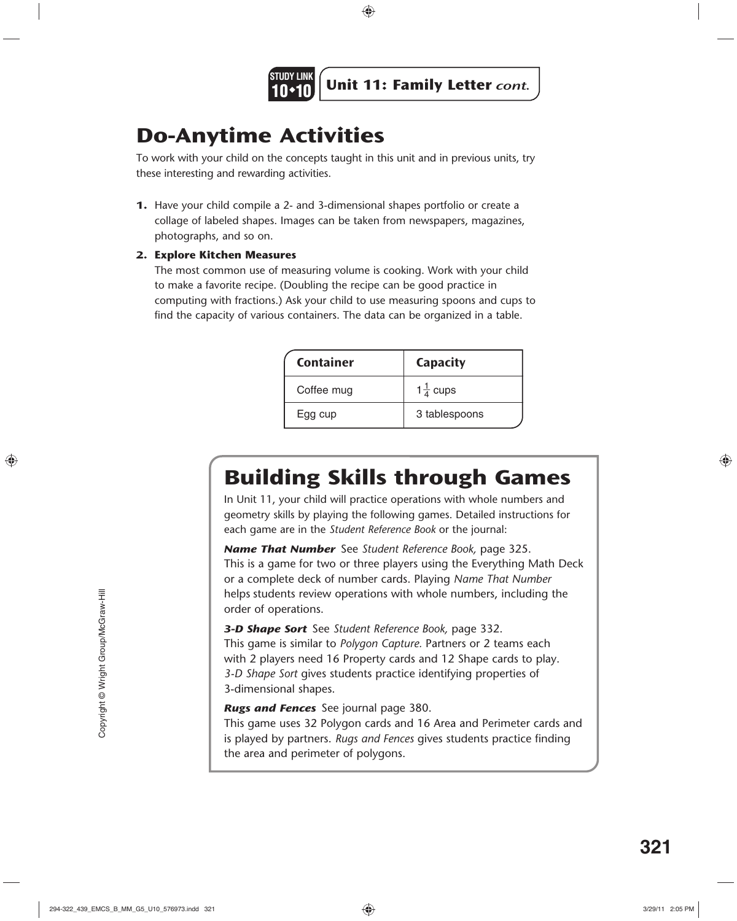

# **Do-Anytime Activities**

To work with your child on the concepts taught in this unit and in previous units, try these interesting and rewarding activities.

**1.** Have your child compile a 2- and 3-dimensional shapes portfolio or create a collage of labeled shapes. Images can be taken from newspapers, magazines, photographs, and so on.

#### **2. Explore Kitchen Measures**

 The most common use of measuring volume is cooking. Work with your child to make a favorite recipe. (Doubling the recipe can be good practice in computing with fractions.) Ask your child to use measuring spoons and cups to find the capacity of various containers. The data can be organized in a table.

| <b>Container</b> | <b>Capacity</b>     |
|------------------|---------------------|
| Coffee mug       | $1\frac{1}{4}$ cups |
| Egg cup          | 3 tablespoons       |

# **Building Skills through Games**

In Unit 11, your child will practice operations with whole numbers and geometry skills by playing the following games. Detailed instructions for each game are in the *Student Reference Book* or the journal:

**Name That Number** See *Student Reference Book,* page 325. This is a game for two or three players using the Everything Math Deck or a complete deck of number cards. Playing *Name That Number*  helps students review operations with whole numbers, including the order of operations.

**3-D Shape Sort** See *Student Reference Book,* page 332. This game is similar to *Polygon Capture.* Partners or 2 teams each with 2 players need 16 Property cards and 12 Shape cards to play. *3-D Shape Sort* gives students practice identifying properties of 3-dimensional shapes.

**Rugs and Fences** See journal page 380.

This game uses 32 Polygon cards and 16 Area and Perimeter cards and is played by partners. *Rugs and Fences* gives students practice finding the area and perimeter of polygons.